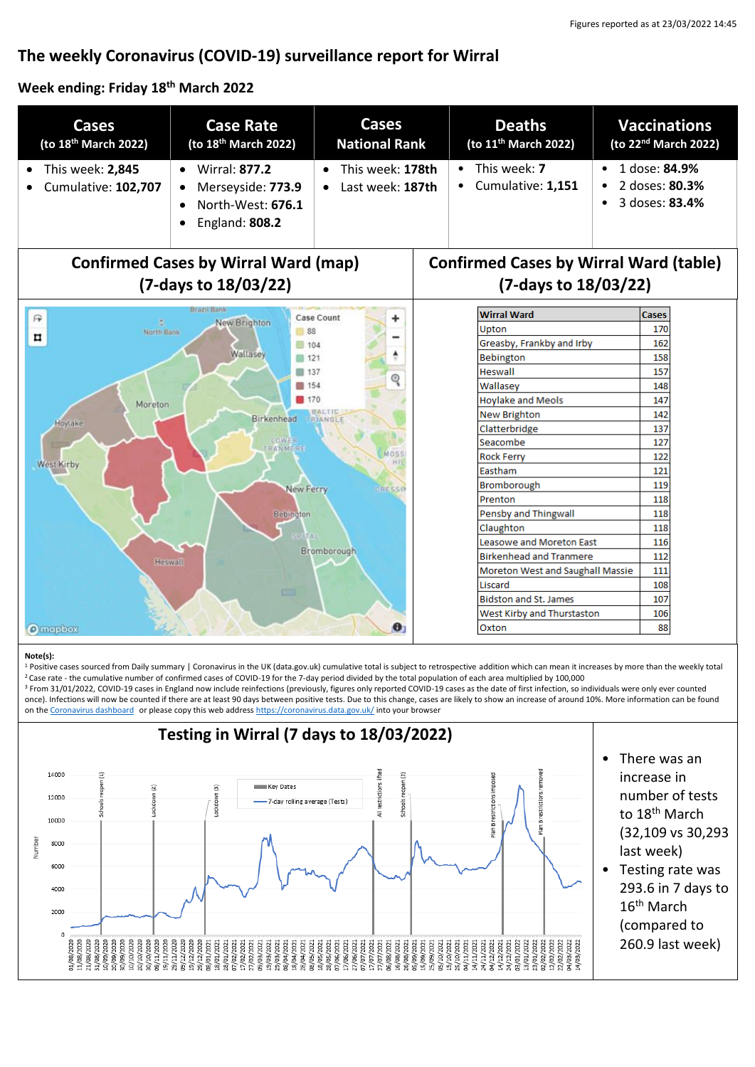# **The weekly Coronavirus (COVID-19) surveillance report for Wirral**

#### **Week ending: Friday 18 th March 2022**

| <b>Cases</b><br>(to 18 <sup>th</sup> March 2022)                                                                                                                                                                                                                                                                                                 | <b>Case Rate</b><br>(to 18 <sup>th</sup> March 2022)                                               | <b>Cases</b><br><b>National Rank</b> | <b>Deaths</b><br>(to 11 <sup>th</sup> March 2022)                                                                                                                                                                                                                                                                                                                                                                                                                                                                                                                                           | <b>Vaccinations</b><br>(to 22 <sup>nd</sup> March 2022)        |
|--------------------------------------------------------------------------------------------------------------------------------------------------------------------------------------------------------------------------------------------------------------------------------------------------------------------------------------------------|----------------------------------------------------------------------------------------------------|--------------------------------------|---------------------------------------------------------------------------------------------------------------------------------------------------------------------------------------------------------------------------------------------------------------------------------------------------------------------------------------------------------------------------------------------------------------------------------------------------------------------------------------------------------------------------------------------------------------------------------------------|----------------------------------------------------------------|
| This week: 2,845<br>Cumulative: 102,707                                                                                                                                                                                                                                                                                                          | <b>Wirral: 877.2</b><br>$\bullet$<br>Merseyside: 773.9<br>North-West: 676.1<br>England: 808.2<br>٠ | This week: 178th<br>Last week: 187th | This week: 7<br>$\bullet$<br>Cumulative: 1,151                                                                                                                                                                                                                                                                                                                                                                                                                                                                                                                                              | 1 dose: 84.9%<br>$\bullet$<br>2 doses: 80.3%<br>3 doses: 83.4% |
| <b>Confirmed Cases by Wirral Ward (map)</b><br><b>Confirmed Cases by Wirral Ward (table)</b><br>(7-days to 18/03/22)<br>(7-days to 18/03/22)                                                                                                                                                                                                     |                                                                                                    |                                      |                                                                                                                                                                                                                                                                                                                                                                                                                                                                                                                                                                                             |                                                                |
| Brazil B<br>Case Count<br>厌<br>۰<br>New Brighton<br>÷<br>88<br>North Bank<br>п<br>104<br>Wallasey<br>■ 121<br>137<br>ତ୍<br>154<br>170<br>Moreton<br>Birkenhead<br>TRIANGLE<br>Hoylake<br>EOWER<br><b><i>RANMERE</i></b><br>MOSS<br>$+11$<br>West Kirby<br>New Ferry<br>RESSI<br><b>Bebington</b><br>Bromborough<br><b>Heswall</b><br><b>CITE</b> |                                                                                                    |                                      | <b>Wirral Ward</b><br><b>Cases</b><br>Upton<br>170<br>Greasby, Frankby and Irby<br>162<br>Bebington<br>158<br><b>Heswall</b><br>157<br>Wallasey<br>148<br><b>Hoylake and Meols</b><br>147<br>New Brighton<br>142<br>Clatterbridge<br>137<br>Seacombe<br>127<br><b>Rock Ferry</b><br>122<br>Eastham<br>121<br>Bromborough<br>119<br>Prenton<br>118<br>Pensby and Thingwall<br>118<br>Claughton<br>118<br><b>Leasowe and Moreton East</b><br>116<br><b>Birkenhead and Tranmere</b><br>112<br>Moreton West and Saughall Massie<br>111<br>Liscard<br>108<br><b>Bidston and St. James</b><br>107 |                                                                |

#### **Note(s):**

1 Positive cases sourced from Daily summary | Coronavirus in the UK (data.gov.uk) cumulative total is subject to retrospective addition which can mean it increases by more than the weekly total <sup>2</sup>Case rate - the cumulative number of confirmed cases of COVID-19 for the 7-day period divided by the total population of each area multiplied by 100,000

<sup>3</sup> From 31/01/2022, COVID-19 cases in England now include reinfections (previously, figures only reported COVID-19 cases as the date of first infection, so individuals were only ever counted once). Infections will now be counted if there are at least 90 days between positive tests. Due to this change, cases are likely to show an increase of around 10%. More information can be found on the [Coronavirus dashboard](https://coronavirus.data.gov.uk/details/whats-new/record/af008739-ffa3-47b8-8efc-ef109f2cfbdd) or please copy this web addres[s https://coronavirus.data.gov.uk/](https://coronavirus.data.gov.uk/) into your browser

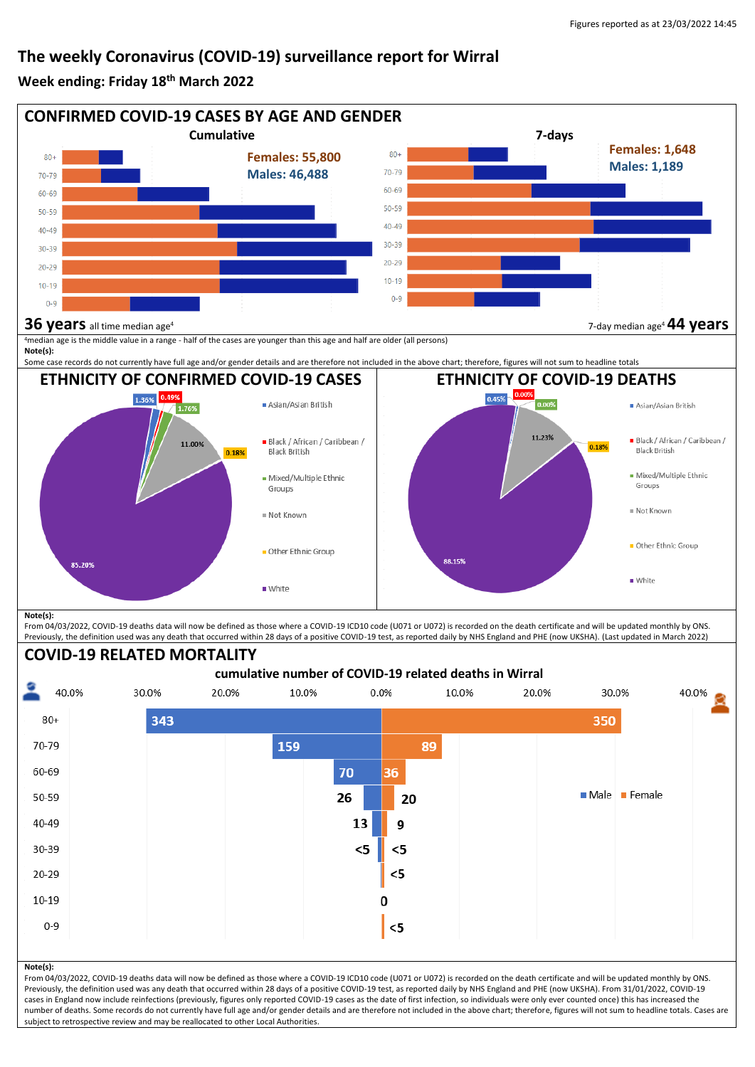# **The weekly Coronavirus (COVID-19) surveillance report for Wirral**

#### **Week ending: Friday 18 th March 2022**





From 04/03/2022, COVID-19 deaths data will now be defined as those where a COVID-19 ICD10 code (U071 or U072) is recorded on the death certificate and will be updated monthly by ONS. Previously, the definition used was any death that occurred within 28 days of a positive COVID-19 test, as reported daily by NHS England and PHE (now UKSHA). From 31/01/2022, COVID-19 cases in England now include reinfections (previously, figures only reported COVID-19 cases as the date of first infection, so individuals were only ever counted once) this has increased the number of deaths. Some records do not currently have full age and/or gender details and are therefore not included in the above chart; therefore, figures will not sum to headline totals. Cases are subject to retrospective review and may be reallocated to other Local Authorities.